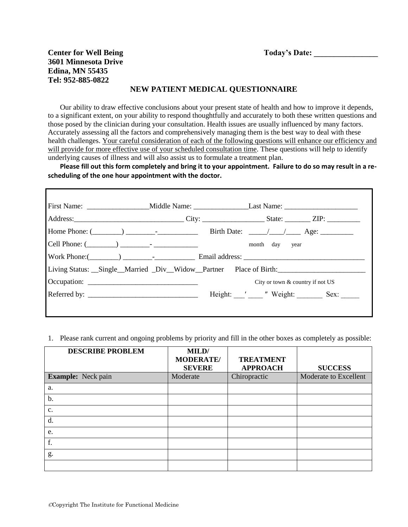## **Center for Well Being**  Today's Date: **3601 Minnesota Drive Edina, MN 55435 Tel: 952-885-0822**

#### **NEW PATIENT MEDICAL QUESTIONNAIRE**

Our ability to draw effective conclusions about your present state of health and how to improve it depends, to a significant extent, on your ability to respond thoughtfully and accurately to both these written questions and those posed by the clinician during your consultation. Health issues are usually influenced by many factors. Accurately assessing all the factors and comprehensively managing them is the best way to deal with these health challenges. Your careful consideration of each of the following questions will enhance our efficiency and will provide for more effective use of your scheduled consultation time. These questions will help to identify underlying causes of illness and will also assist us to formulate a treatment plan.

**Please fill out this form completely and bring it to your appointment. Failure to do so may result in a rescheduling of the one hour appointment with the doctor.**

|                                                                                   | Birth Date: $\frac{1}{\sqrt{1-\frac{1}{2}}}$ Age: |  |
|-----------------------------------------------------------------------------------|---------------------------------------------------|--|
|                                                                                   | month day year                                    |  |
|                                                                                   |                                                   |  |
| Living Status: __Single__Married _Div__Widow__Partner Place of Birth: ___________ |                                                   |  |
|                                                                                   | City or town & country if not US                  |  |
|                                                                                   | Height: ' " Weight: Sex:                          |  |

#### 1. Please rank current and ongoing problems by priority and fill in the other boxes as completely as possible:

| <b>DESCRIBE PROBLEM</b>   | MILD/<br><b>MODERATE/</b><br><b>SEVERE</b> | <b>TREATMENT</b><br><b>APPROACH</b> | <b>SUCCESS</b>        |
|---------------------------|--------------------------------------------|-------------------------------------|-----------------------|
| <b>Example:</b> Neck pain | Moderate                                   | Chiropractic                        | Moderate to Excellent |
| a.                        |                                            |                                     |                       |
| b.                        |                                            |                                     |                       |
| c.                        |                                            |                                     |                       |
| d.                        |                                            |                                     |                       |
| e.                        |                                            |                                     |                       |
| f.                        |                                            |                                     |                       |
| g.                        |                                            |                                     |                       |
|                           |                                            |                                     |                       |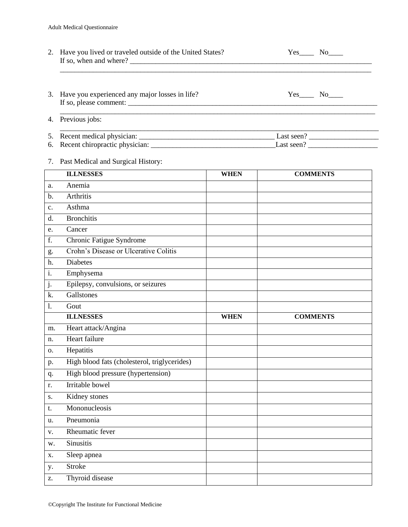| 2. Have you lived or traveled outside of the United States?<br>If so, when and where? | Yes<br>No the set of the set of the set of the set of the set of the set of the set of the set of the set of the set of the set of the set of the set of the set of the set of the set of the set of the set of the set of the set of |  |  |  |
|---------------------------------------------------------------------------------------|---------------------------------------------------------------------------------------------------------------------------------------------------------------------------------------------------------------------------------------|--|--|--|
| 3. Have you experienced any major losses in life?<br>If so, please comment:           | Yes<br>No results.                                                                                                                                                                                                                    |  |  |  |
| 4. Previous jobs:                                                                     |                                                                                                                                                                                                                                       |  |  |  |
| 6. Recent chiropractic physician:                                                     | Last seen?<br>Last seen?                                                                                                                                                                                                              |  |  |  |

### 7. Past Medical and Surgical History:

|                  | <b>ILLNESSES</b>                             | <b>WHEN</b> | <b>COMMENTS</b> |
|------------------|----------------------------------------------|-------------|-----------------|
| a.               | Anemia                                       |             |                 |
| b.               | <b>Arthritis</b>                             |             |                 |
| c.               | Asthma                                       |             |                 |
| d.               | <b>Bronchitis</b>                            |             |                 |
| e.               | Cancer                                       |             |                 |
| f.               | Chronic Fatigue Syndrome                     |             |                 |
| g.               | Crohn's Disease or Ulcerative Colitis        |             |                 |
| h.               | <b>Diabetes</b>                              |             |                 |
| $\overline{i}$ . | Emphysema                                    |             |                 |
| j.               | Epilepsy, convulsions, or seizures           |             |                 |
| k.               | Gallstones                                   |             |                 |
| 1.               | Gout                                         |             |                 |
|                  | <b>ILLNESSES</b>                             | <b>WHEN</b> | <b>COMMENTS</b> |
| m.               | Heart attack/Angina                          |             |                 |
| n.               | Heart failure                                |             |                 |
| Ο.               | Hepatitis                                    |             |                 |
| p.               | High blood fats (cholesterol, triglycerides) |             |                 |
| q.               | High blood pressure (hypertension)           |             |                 |
| r.               | <b>Irritable</b> bowel                       |             |                 |
| S.               | Kidney stones                                |             |                 |
| t.               | Mononucleosis                                |             |                 |
| u.               | Pneumonia                                    |             |                 |
| V.               | Rheumatic fever                              |             |                 |
| w.               | Sinusitis                                    |             |                 |
| X.               | Sleep apnea                                  |             |                 |
| у.               | <b>Stroke</b>                                |             |                 |
| Z.               | Thyroid disease                              |             |                 |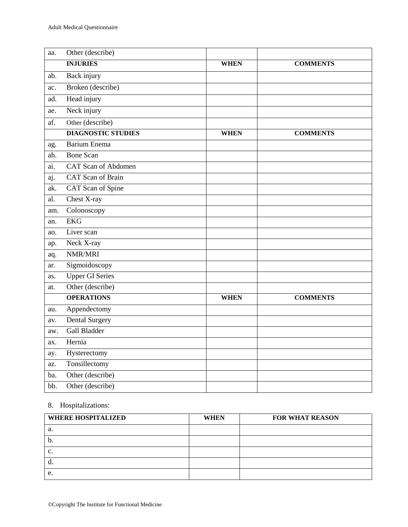| aa. | Other (describe)           |             |                 |
|-----|----------------------------|-------------|-----------------|
|     | <b>INJURIES</b>            | <b>WHEN</b> | <b>COMMENTS</b> |
| ab. | <b>Back injury</b>         |             |                 |
| ac. | Broken (describe)          |             |                 |
| ad. | Head injury                |             |                 |
| ae. | Neck injury                |             |                 |
| af. | Other (describe)           |             |                 |
|     | <b>DIAGNOSTIC STUDIES</b>  | <b>WHEN</b> | <b>COMMENTS</b> |
| ag. | <b>Barium Enema</b>        |             |                 |
| ah. | <b>Bone Scan</b>           |             |                 |
| ai. | <b>CAT Scan of Abdomen</b> |             |                 |
| aj. | <b>CAT</b> Scan of Brain   |             |                 |
| ak. | CAT Scan of Spine          |             |                 |
| al. | Chest X-ray                |             |                 |
| am. | Colonoscopy                |             |                 |
| an. | <b>EKG</b>                 |             |                 |
| ao. | Liver scan                 |             |                 |
| ap. | Neck X-ray                 |             |                 |
| aq. | NMR/MRI                    |             |                 |
| ar. | Sigmoidoscopy              |             |                 |
| as. | <b>Upper GI Series</b>     |             |                 |
| at. | Other (describe)           |             |                 |
|     | <b>OPERATIONS</b>          | <b>WHEN</b> | <b>COMMENTS</b> |
| au. | Appendectomy               |             |                 |
| av. | <b>Dental Surgery</b>      |             |                 |
| aw. | <b>Gall Bladder</b>        |             |                 |
| ax. | Hernia                     |             |                 |
| ay. | Hysterectomy               |             |                 |
| az. | Tonsillectomy              |             |                 |
| ba. | Other (describe)           |             |                 |
| bb. | Other (describe)           |             |                 |

# 8. Hospitalizations:

| <b>WHERE HOSPITALIZED</b> | <b>WHEN</b> | <b>FOR WHAT REASON</b> |
|---------------------------|-------------|------------------------|
| a.                        |             |                        |
| b.                        |             |                        |
| c.                        |             |                        |
|                           |             |                        |
| e.                        |             |                        |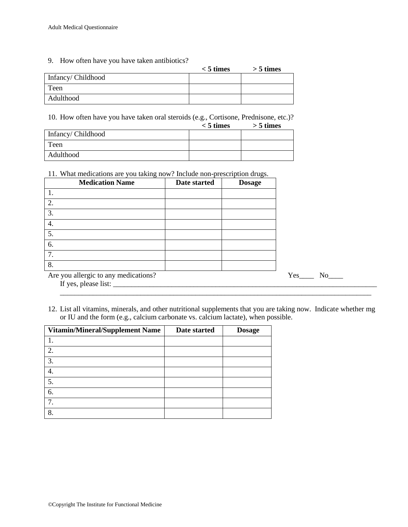9. How often have you have taken antibiotics?

|                   | $<$ 5 times | $>$ 5 times |
|-------------------|-------------|-------------|
| Infancy/Childhood |             |             |
| Teen              |             |             |
| Adulthood         |             |             |

10. How often have you have taken oral steroids (e.g., Cortisone, Prednisone, etc.)?

|                   | $< 5$ times | $>$ 5 times |
|-------------------|-------------|-------------|
| Infancy/Childhood |             |             |
| Teen              |             |             |
| Adulthood         |             |             |

11. What medications are you taking now? Include non-prescription drugs.

| <b>Medication Name</b>               | Date started | <b>Dosage</b> |
|--------------------------------------|--------------|---------------|
| 1.                                   |              |               |
| 2.                                   |              |               |
| 3.                                   |              |               |
| 4.                                   |              |               |
| 5.                                   |              |               |
| 6.                                   |              |               |
| 7.                                   |              |               |
| 8.                                   |              |               |
| Are you allergic to any medications? |              |               |
| If yes, please list:                 |              |               |

12. List all vitamins, minerals, and other nutritional supplements that you are taking now. Indicate whether mg or IU and the form (e.g., calcium carbonate vs. calcium lactate), when possible.

\_\_\_\_\_\_\_\_\_\_\_\_\_\_\_\_\_\_\_\_\_\_\_\_\_\_\_\_\_\_\_\_\_\_\_\_\_\_\_\_\_\_\_\_\_\_\_\_\_\_\_\_\_\_\_\_\_\_\_\_\_\_\_\_\_\_\_\_\_\_\_\_\_\_\_\_\_\_\_\_\_\_\_\_\_

| <b>Vitamin/Mineral/Supplement Name</b> | Date started | <b>Dosage</b> |
|----------------------------------------|--------------|---------------|
|                                        |              |               |
| 2.                                     |              |               |
| 3.                                     |              |               |
| 4.                                     |              |               |
| 5.                                     |              |               |
| 6.                                     |              |               |
| $\tau$                                 |              |               |
| 8                                      |              |               |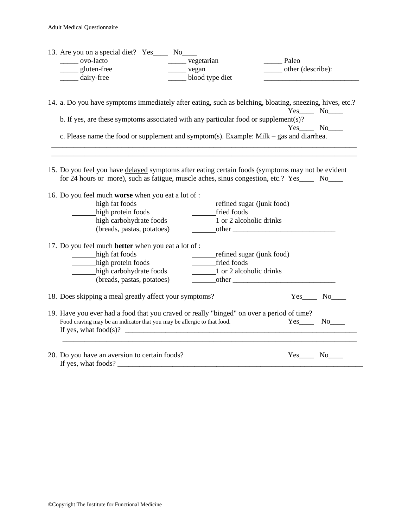| 13. Are you on a special diet? Yes______ No_____                                                                                              |                         |                                                                                                          |
|-----------------------------------------------------------------------------------------------------------------------------------------------|-------------------------|----------------------------------------------------------------------------------------------------------|
| ______ ovo-lacto                                                                                                                              | ________ vegetarian     | Paleo                                                                                                    |
| ______ gluten-free                                                                                                                            | $\frac{\ }{\ }$ vegan   | _______ other (describe):                                                                                |
| ______ dairy-free                                                                                                                             | ___ blood type diet     |                                                                                                          |
|                                                                                                                                               |                         | 14. a. Do you have symptoms immediately after eating, such as belching, bloating, sneezing, hives, etc.? |
|                                                                                                                                               |                         | Yes_____ No____                                                                                          |
| b. If yes, are these symptoms associated with any particular food or supplement(s)?                                                           |                         |                                                                                                          |
| c. Please name the food or supplement and symptom(s). Example: Milk – gas and diarrhea.                                                       |                         |                                                                                                          |
|                                                                                                                                               |                         |                                                                                                          |
|                                                                                                                                               |                         |                                                                                                          |
| 15. Do you feel you have delayed symptoms after eating certain foods (symptoms may not be evident                                             |                         | for 24 hours or more), such as fatigue, muscle aches, sinus congestion, etc.? Yes_____ No____            |
|                                                                                                                                               |                         |                                                                                                          |
| 16. Do you feel much worse when you eat a lot of :                                                                                            |                         |                                                                                                          |
| high fat foods                                                                                                                                |                         |                                                                                                          |
| high protein foods                                                                                                                            | fried foods             |                                                                                                          |
| high carbohydrate foods                                                                                                                       | 1 or 2 alcoholic drinks |                                                                                                          |
| (breads, pastas, potatoes)                                                                                                                    |                         | $\frac{\text{other}}{\text{other}}$                                                                      |
| 17. Do you feel much <b>better</b> when you eat a lot of :                                                                                    |                         |                                                                                                          |
| high fat foods                                                                                                                                |                         | refined sugar (junk food)                                                                                |
| high protein foods                                                                                                                            | ______fried foods       |                                                                                                          |
| high carbohydrate foods                                                                                                                       | 1 or 2 alcoholic drinks |                                                                                                          |
| (breads, pastas, potatoes)                                                                                                                    |                         |                                                                                                          |
| 18. Does skipping a meal greatly affect your symptoms?                                                                                        |                         | $Yes$ No                                                                                                 |
| 19. Have you ever had a food that you craved or really "binged" on over a period of time?                                                     |                         |                                                                                                          |
| Food craving may be an indicator that you may be allergic to that food.                                                                       |                         | $Yes$ No $No$                                                                                            |
| If yes, what food(s)? $\qquad \qquad$                                                                                                         |                         |                                                                                                          |
|                                                                                                                                               |                         |                                                                                                          |
| 20. Do you have an aversion to certain foods?                                                                                                 |                         | $Yes$ No $No$                                                                                            |
| If yes, what foods?<br><u> La Carlo de Carlo de la Carlo de Carlo de Carlo de Carlo de Carlo de Carlo de Carlo de Carlo de Carlo de Carlo</u> |                         |                                                                                                          |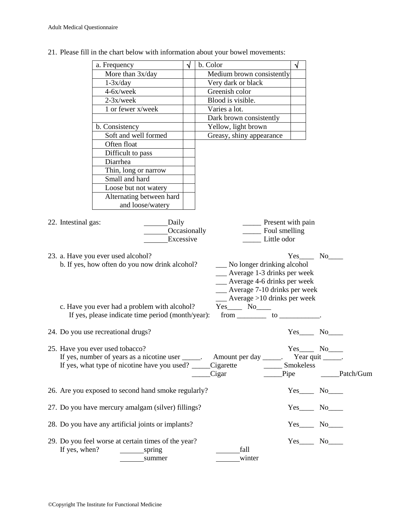|                     | a. Frequency                                                | $\sqrt{ }$ | b. Color                                                                                 | √                                       |            |
|---------------------|-------------------------------------------------------------|------------|------------------------------------------------------------------------------------------|-----------------------------------------|------------|
|                     | More than 3x/day                                            |            | Medium brown consistently                                                                |                                         |            |
|                     | $1-3x/day$                                                  |            | Very dark or black                                                                       |                                         |            |
|                     | 4-6x/week                                                   |            | Greenish color                                                                           |                                         |            |
|                     | $2-3x/$ week                                                |            | Blood is visible.                                                                        |                                         |            |
|                     | 1 or fewer x/week                                           |            | Varies a lot.                                                                            |                                         |            |
|                     |                                                             |            | Dark brown consistently                                                                  |                                         |            |
|                     | b. Consistency                                              |            | Yellow, light brown                                                                      |                                         |            |
|                     | Soft and well formed                                        |            | Greasy, shiny appearance                                                                 |                                         |            |
|                     | Often float                                                 |            |                                                                                          |                                         |            |
|                     | Difficult to pass                                           |            |                                                                                          |                                         |            |
|                     | Diarrhea                                                    |            |                                                                                          |                                         |            |
|                     | Thin, long or narrow                                        |            |                                                                                          |                                         |            |
|                     | Small and hard                                              |            |                                                                                          |                                         |            |
|                     | Loose but not watery                                        |            |                                                                                          |                                         |            |
|                     | Alternating between hard                                    |            |                                                                                          |                                         |            |
|                     | and loose/watery                                            |            |                                                                                          |                                         |            |
|                     |                                                             |            |                                                                                          |                                         |            |
| 22. Intestinal gas: | Daily                                                       |            | <u>net</u> Present with pain                                                             |                                         |            |
|                     | Occasionally                                                |            | Foul smelling                                                                            |                                         |            |
|                     | Excessive                                                   |            | Little odor                                                                              |                                         |            |
|                     |                                                             |            |                                                                                          |                                         |            |
|                     | 23. a. Have you ever used alcohol?                          |            |                                                                                          | Yes No                                  |            |
|                     | b. If yes, how often do you now drink alcohol?              |            | No longer drinking alcohol                                                               |                                         |            |
|                     |                                                             |            | __ Average 1-3 drinks per week                                                           |                                         |            |
|                     |                                                             |            | __ Average 4-6 drinks per week                                                           |                                         |            |
|                     |                                                             |            | __ Average 7-10 drinks per week                                                          |                                         |            |
|                     |                                                             |            | $\frac{1}{2}$ Average >10 drinks per week                                                |                                         |            |
|                     | c. Have you ever had a problem with alcohol?                |            | Yes_____ No____                                                                          |                                         |            |
|                     | If yes, please indicate time period (month/year):           |            | $from \_\_\_ to \_\_\_$                                                                  |                                         |            |
|                     |                                                             |            |                                                                                          |                                         |            |
|                     | 24. Do you use recreational drugs?                          |            |                                                                                          | $Yes$ No_                               |            |
|                     | 25. Have you ever used tobacco?                             |            |                                                                                          | $Yes$ No $No$                           |            |
|                     |                                                             |            | If yes, number of years as a nicotine user _____. Amount per day _____. Year quit _____. |                                         |            |
|                     | If yes, what type of nicotine have you used? _____Cigarette |            |                                                                                          | __ Smokeless                            |            |
|                     |                                                             |            | Cigar<br>Pipe                                                                            |                                         | _Patch/Gum |
|                     |                                                             |            |                                                                                          |                                         |            |
|                     | 26. Are you exposed to second hand smoke regularly?         |            |                                                                                          |                                         |            |
|                     |                                                             |            |                                                                                          |                                         |            |
|                     | 27. Do you have mercury amalgam (silver) fillings?          |            |                                                                                          | $Yes$ No $\_\_$                         |            |
|                     |                                                             |            |                                                                                          |                                         |            |
|                     | 28. Do you have any artificial joints or implants?          |            |                                                                                          | $Yes$ <sub>__</sub> $No$ <sub>___</sub> |            |
|                     |                                                             |            |                                                                                          |                                         |            |
|                     | 29. Do you feel worse at certain times of the year?         |            |                                                                                          | $Yes$ No $No$                           |            |
| If yes, when?       | spring                                                      |            | fall                                                                                     |                                         |            |
|                     | summer                                                      |            | winter                                                                                   |                                         |            |

21. Please fill in the chart below with information about your bowel movements: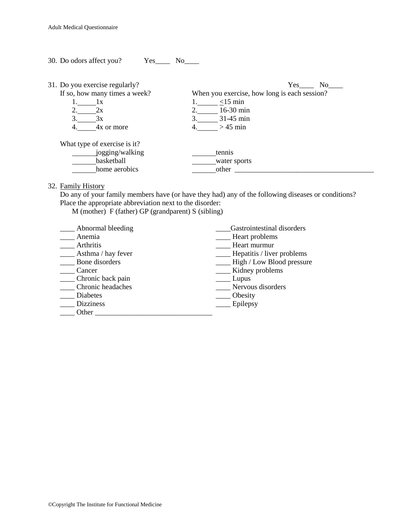30. Do odors affect you? Yes\_\_\_\_ No\_\_\_\_ 31. Do you exercise regularly? Yes\_\_\_\_ No\_\_\_\_

| If so, how many times a week? | When you exercise, how long is each session? |
|-------------------------------|----------------------------------------------|
|                               | $<$ 15 min                                   |
|                               | $16-30$ min                                  |
| эx                            | $31-45$ min                                  |
| 4x or more                    | $>45$ min                                    |
| What type of exercise is it?  |                                              |
| jogging/walking               | tennis                                       |
| basketball                    | water sports                                 |
| home aerobics                 | other                                        |

32. Family History

Do any of your family members have (or have they had) any of the following diseases or conditions? Place the appropriate abbreviation next to the disorder:

M (mother) F (father) GP (grandparent) S (sibling)

| Abnormal bleeding  | Gastrointestinal disorders |
|--------------------|----------------------------|
| Anemia             | Heart problems             |
| Arthritis          | Heart murmur               |
| Asthma / hay fever | Hepatitis / liver problems |
| Bone disorders     | High / Low Blood pressure  |
| Cancer             | Kidney problems            |
| Chronic back pain  | Lupus                      |
| Chronic headaches  | Nervous disorders          |
| Diabetes           | Obesity                    |
| <b>Dizziness</b>   | Epilepsy                   |
| Other              |                            |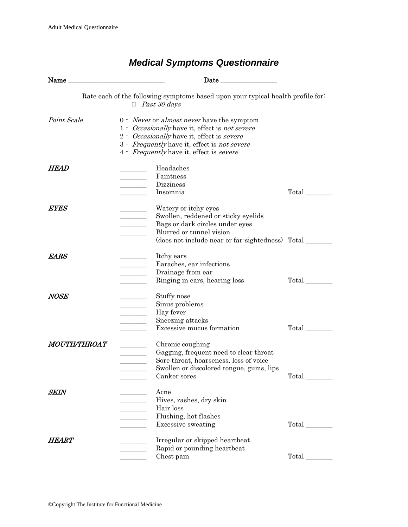| Name                                                                                                   |                                                                                                                                                                                                                                                                    |                                 |  |  |
|--------------------------------------------------------------------------------------------------------|--------------------------------------------------------------------------------------------------------------------------------------------------------------------------------------------------------------------------------------------------------------------|---------------------------------|--|--|
| Rate each of the following symptoms based upon your typical health profile for:<br>$\Box$ Past 30 days |                                                                                                                                                                                                                                                                    |                                 |  |  |
| <i>Point Scale</i>                                                                                     | $0$ · <i>Never</i> or <i>almost never</i> have the symptom<br>1 Occasionally have it, effect is not severe<br>2 - Occasionally have it, effect is severe<br>3 - Frequently have it, effect is not severe<br>4 - <i>Frequently</i> have it, effect is <i>severe</i> |                                 |  |  |
| <b>HEAD</b>                                                                                            | Headaches<br>Faintness<br>Dizziness<br>$\overline{\phantom{a}}$<br>Insomnia                                                                                                                                                                                        | Total                           |  |  |
| <i>EYES</i>                                                                                            | Watery or itchy eyes<br>Swollen, reddened or sticky eyelids<br>$\overline{\phantom{a}}$<br>Bags or dark circles under eyes<br>$\overline{\phantom{a}}$<br>Blurred or tunnel vision<br>(does not include near or far-sightedness) Total ________                    |                                 |  |  |
| <i>EARS</i>                                                                                            | Itchy ears<br>Earaches, ear infections<br>Drainage from ear<br>$\overline{\phantom{a}}$<br>Ringing in ears, hearing loss                                                                                                                                           | Total                           |  |  |
| <i>NOSE</i>                                                                                            | Stuffy nose<br>Sinus problems<br>Hay fever<br>$\overline{\phantom{a}}$<br>Sneezing attacks<br>Excessive mucus formation                                                                                                                                            | Total                           |  |  |
| <i>MOUTH/THROAT</i>                                                                                    | Chronic coughing<br>Gagging, frequent need to clear throat<br>Sore throat, hoarseness, loss of voice<br>Swollen or discolored tongue, gums, lips<br>Canker sores                                                                                                   | $Total$ <sub>____________</sub> |  |  |
| SKIN                                                                                                   | Acne<br>Hives, rashes, dry skin<br>Hair loss<br>Flushing, hot flashes<br><b>Excessive sweating</b>                                                                                                                                                                 | Total                           |  |  |
| <i><b>HEART</b></i>                                                                                    | Irregular or skipped heartbeat<br>Rapid or pounding heartbeat<br>Chest pain                                                                                                                                                                                        | Total                           |  |  |

# *Medical Symptoms Questionnaire*